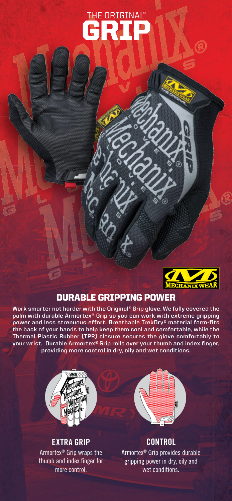# GRIP THE ORIGINAL®



# DURABLE GRIPPING POWER

**Work smarter not harder with the Original® Grip glove. We fully covered the palm with durable Armortex® Grip so you can work with extreme gripping power and less strenuous effort. Breathable TrekDry® material form-fits the back of your hands to help keep them cool and comfortable, while the Thermal Plastic Rubber (TPR) closure secures the glove comfortably to your wrist. Durable Armortex® Grip rolls over your thumb and index finger, providing more control in dry, oily and wet conditions.** 



# **EXTRA GRIP**

Armortex® Grip wraps the thumb and index finger for more control.



## **CONTROL**

Armortex® Grip provides durable gripping power in dry, oily and wet conditions.